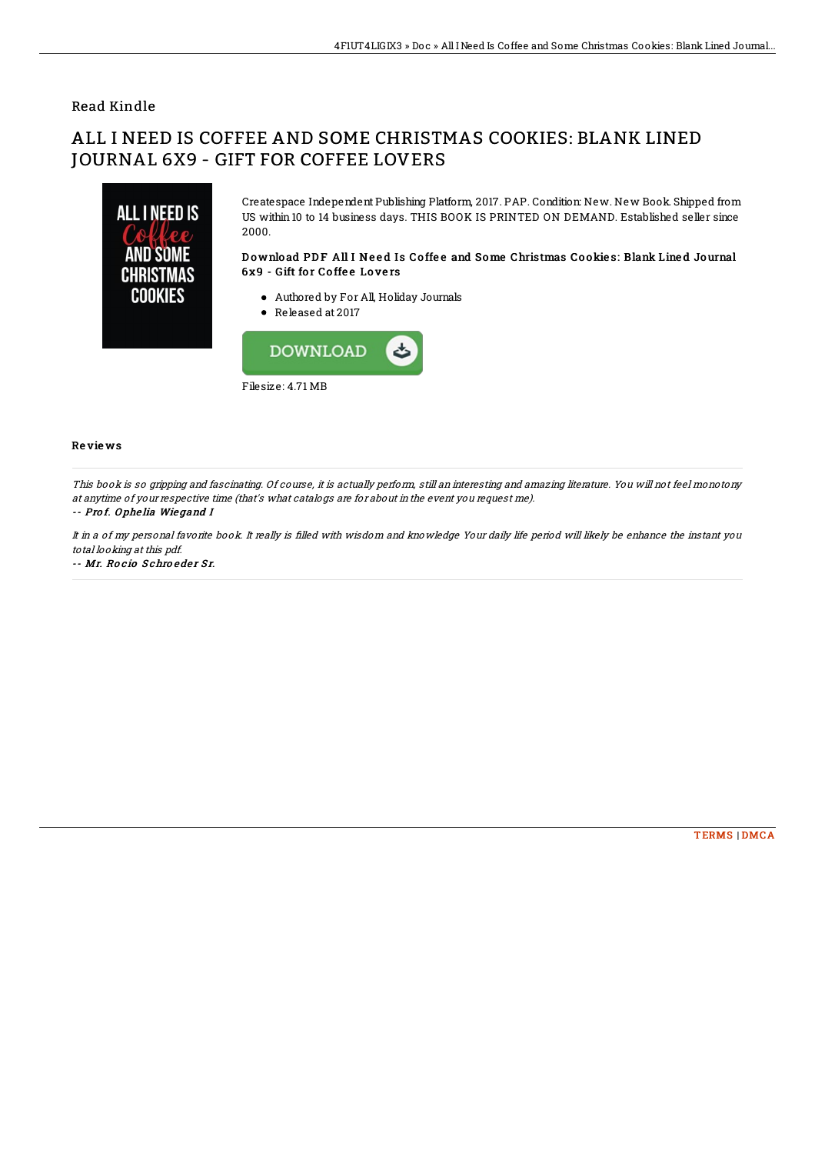## Read Kindle

# ALL I NEED IS COFFEE AND SOME CHRISTMAS COOKIES: BLANK LINED JOURNAL 6X9 - GIFT FOR COFFEE LOVERS



Createspace Independent Publishing Platform, 2017. PAP. Condition: New. New Book. Shipped from US within 10 to 14 business days. THIS BOOK IS PRINTED ON DEMAND. Established seller since 2000.

### Download PDF All I Need Is Coffee and Some Christmas Cookies: Blank Lined Journal 6x9 - Gift for Coffee Lovers

- Authored by For All, Holiday Journals
- Released at 2017



#### Re vie ws

This book is so gripping and fascinating. Of course, it is actually perform, still an interesting and amazing literature. You will not feel monotony at anytime of your respective time (that's what catalogs are for about in the event you request me).

#### -- Pro f. O phe lia Wie gand I

It in a of my personal favorite book. It really is filled with wisdom and knowledge Your daily life period will likely be enhance the instant you total looking at this pdf.

-- Mr. Rocio Schroeder Sr.